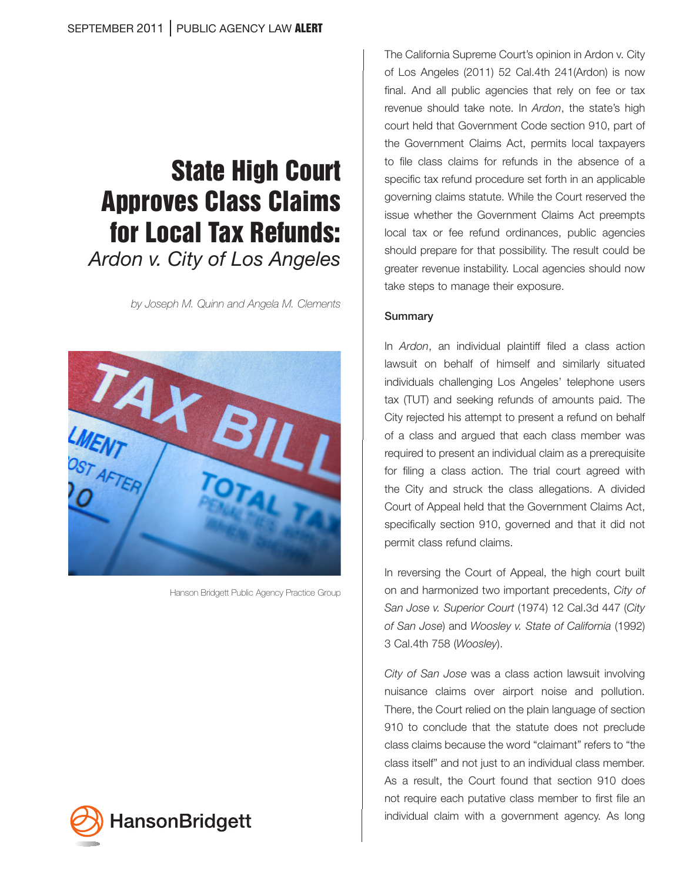# State High Court Approves Class Claims for Local Tax Refunds: *Ardon v. City of Los Angeles*

 *by Joseph M. Quinn and Angela M. Clements* 



Hanson Bridgett Public Agency Practice Group



The California Supreme Court's opinion in Ardon v. City of Los Angeles (2011) 52 Cal.4th 241(Ardon) is now final. And all public agencies that rely on fee or tax revenue should take note. In *Ardon*, the state's high court held that Government Code section 910, part of the Government Claims Act, permits local taxpayers to file class claims for refunds in the absence of a specific tax refund procedure set forth in an applicable governing claims statute. While the Court reserved the issue whether the Government Claims Act preempts local tax or fee refund ordinances, public agencies should prepare for that possibility. The result could be greater revenue instability. Local agencies should now take steps to manage their exposure.

## **Summary**

In *Ardon*, an individual plaintiff filed a class action lawsuit on behalf of himself and similarly situated individuals challenging Los Angeles' telephone users tax (TUT) and seeking refunds of amounts paid. The City rejected his attempt to present a refund on behalf of a class and argued that each class member was required to present an individual claim as a prerequisite for filing a class action. The trial court agreed with the City and struck the class allegations. A divided Court of Appeal held that the Government Claims Act, specifically section 910, governed and that it did not permit class refund claims.

In reversing the Court of Appeal, the high court built on and harmonized two important precedents, *City of San Jose v. Superior Court* (1974) 12 Cal.3d 447 (*City of San Jose*) and *Woosley v. State of California* (1992) 3 Cal.4th 758 (*Woosley*).

*City of San Jose* was a class action lawsuit involving nuisance claims over airport noise and pollution. There, the Court relied on the plain language of section 910 to conclude that the statute does not preclude class claims because the word "claimant" refers to "the class itself" and not just to an individual class member. As a result, the Court found that section 910 does not require each putative class member to first file an individual claim with a government agency. As long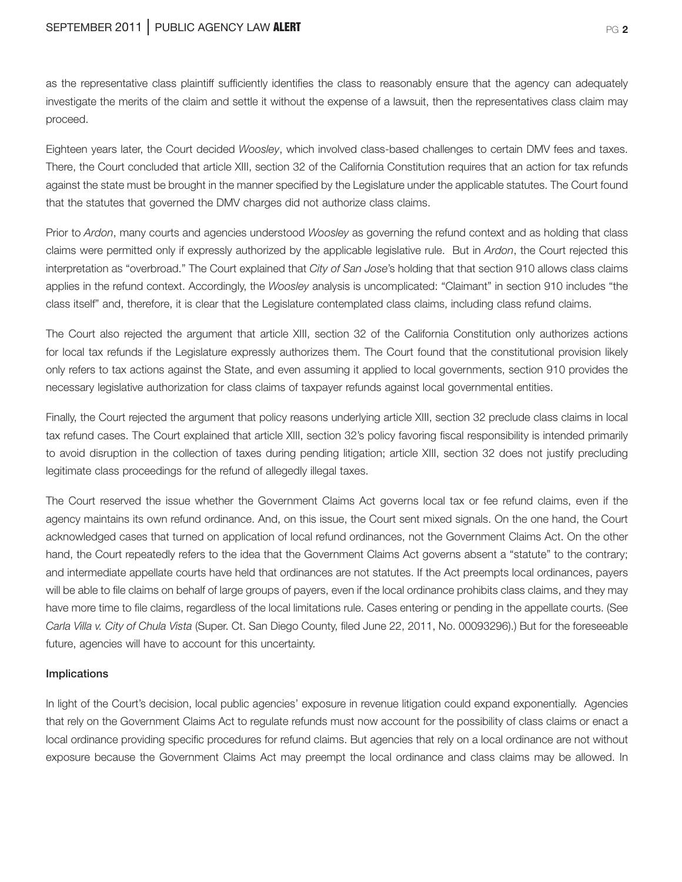as the representative class plaintiff sufficiently identifies the class to reasonably ensure that the agency can adequately investigate the merits of the claim and settle it without the expense of a lawsuit, then the representatives class claim may proceed.

Eighteen years later, the Court decided *Woosley*, which involved class-based challenges to certain DMV fees and taxes. There, the Court concluded that article XIII, section 32 of the California Constitution requires that an action for tax refunds against the state must be brought in the manner specified by the Legislature under the applicable statutes. The Court found that the statutes that governed the DMV charges did not authorize class claims.

Prior to *Ardon*, many courts and agencies understood *Woosley* as governing the refund context and as holding that class claims were permitted only if expressly authorized by the applicable legislative rule. But in *Ardon*, the Court rejected this interpretation as "overbroad." The Court explained that *City of San Jose*'s holding that that section 910 allows class claims applies in the refund context. Accordingly, the *Woosley* analysis is uncomplicated: "Claimant" in section 910 includes "the class itself" and, therefore, it is clear that the Legislature contemplated class claims, including class refund claims.

The Court also rejected the argument that article XIII, section 32 of the California Constitution only authorizes actions for local tax refunds if the Legislature expressly authorizes them. The Court found that the constitutional provision likely only refers to tax actions against the State, and even assuming it applied to local governments, section 910 provides the necessary legislative authorization for class claims of taxpayer refunds against local governmental entities.

Finally, the Court rejected the argument that policy reasons underlying article XIII, section 32 preclude class claims in local tax refund cases. The Court explained that article XIII, section 32's policy favoring fiscal responsibility is intended primarily to avoid disruption in the collection of taxes during pending litigation; article XIII, section 32 does not justify precluding legitimate class proceedings for the refund of allegedly illegal taxes.

The Court reserved the issue whether the Government Claims Act governs local tax or fee refund claims, even if the agency maintains its own refund ordinance. And, on this issue, the Court sent mixed signals. On the one hand, the Court acknowledged cases that turned on application of local refund ordinances, not the Government Claims Act. On the other hand, the Court repeatedly refers to the idea that the Government Claims Act governs absent a "statute" to the contrary; and intermediate appellate courts have held that ordinances are not statutes. If the Act preempts local ordinances, payers will be able to file claims on behalf of large groups of payers, even if the local ordinance prohibits class claims, and they may have more time to file claims, regardless of the local limitations rule. Cases entering or pending in the appellate courts. (See *Carla Villa v. City of Chula Vista* (Super. Ct. San Diego County, filed June 22, 2011, No. 00093296).) But for the foreseeable future, agencies will have to account for this uncertainty.

#### Implications

In light of the Court's decision, local public agencies' exposure in revenue litigation could expand exponentially. Agencies that rely on the Government Claims Act to regulate refunds must now account for the possibility of class claims or enact a local ordinance providing specific procedures for refund claims. But agencies that rely on a local ordinance are not without exposure because the Government Claims Act may preempt the local ordinance and class claims may be allowed. In